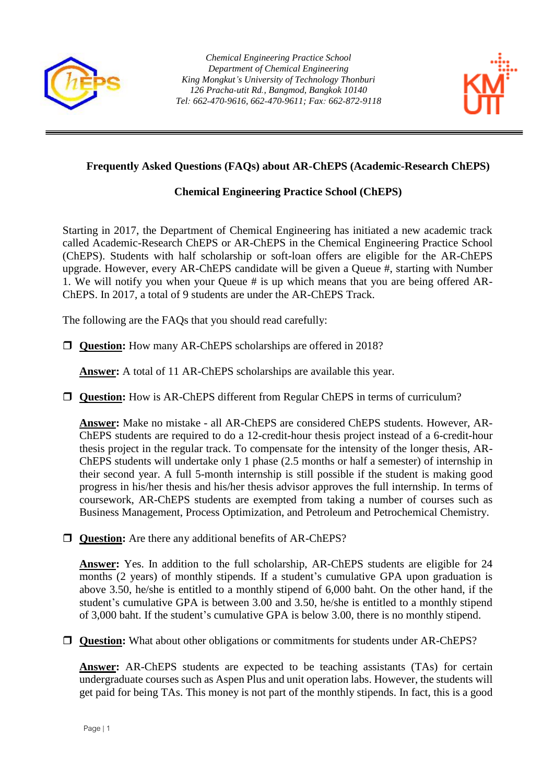



## **Frequently Asked Questions (FAQs) about AR-ChEPS (Academic-Research ChEPS)**

## **Chemical Engineering Practice School (ChEPS)**

Starting in 2017, the Department of Chemical Engineering has initiated a new academic track called Academic-Research ChEPS or AR-ChEPS in the Chemical Engineering Practice School (ChEPS). Students with half scholarship or soft-loan offers are eligible for the AR-ChEPS upgrade. However, every AR-ChEPS candidate will be given a Queue #, starting with Number 1. We will notify you when your Queue # is up which means that you are being offered AR-ChEPS. In 2017, a total of 9 students are under the AR-ChEPS Track.

The following are the FAQs that you should read carefully:

**Question:** How many AR-ChEPS scholarships are offered in 2018?

**Answer:** A total of 11 AR-ChEPS scholarships are available this year.

□ **Question:** How is AR-ChEPS different from Regular ChEPS in terms of curriculum?

**Answer:** Make no mistake - all AR-ChEPS are considered ChEPS students. However, AR-ChEPS students are required to do a 12-credit-hour thesis project instead of a 6-credit-hour thesis project in the regular track. To compensate for the intensity of the longer thesis, AR-ChEPS students will undertake only 1 phase (2.5 months or half a semester) of internship in their second year. A full 5-month internship is still possible if the student is making good progress in his/her thesis and his/her thesis advisor approves the full internship. In terms of coursework, AR-ChEPS students are exempted from taking a number of courses such as Business Management, Process Optimization, and Petroleum and Petrochemical Chemistry.

**Question:** Are there any additional benefits of AR-ChEPS?

**Answer:** Yes. In addition to the full scholarship, AR-ChEPS students are eligible for 24 months (2 years) of monthly stipends. If a student's cumulative GPA upon graduation is above 3.50, he/she is entitled to a monthly stipend of 6,000 baht. On the other hand, if the student's cumulative GPA is between 3.00 and 3.50, he/she is entitled to a monthly stipend of 3,000 baht. If the student's cumulative GPA is below 3.00, there is no monthly stipend.

□ **Question:** What about other obligations or commitments for students under AR-ChEPS?

**Answer:** AR-ChEPS students are expected to be teaching assistants (TAs) for certain undergraduate courses such as Aspen Plus and unit operation labs. However, the students will get paid for being TAs. This money is not part of the monthly stipends. In fact, this is a good